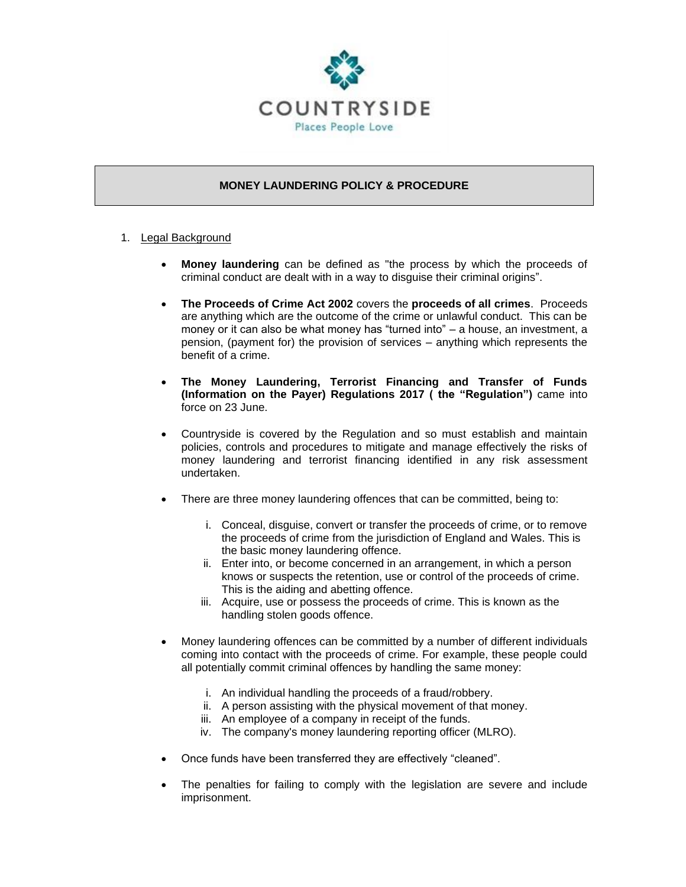

# **MONEY LAUNDERING POLICY & PROCEDURE**

- 1. Legal Background
	- **Money laundering** can be defined as "the process by which the proceeds of criminal conduct are dealt with in a way to disguise their criminal origins".
	- **The Proceeds of Crime Act 2002** covers the **proceeds of all crimes**. Proceeds are anything which are the outcome of the crime or unlawful conduct. This can be money or it can also be what money has "turned into" – a house, an investment, a pension, (payment for) the provision of services – anything which represents the benefit of a crime.
	- **The Money Laundering, Terrorist Financing and Transfer of Funds (Information on the Payer) Regulations 2017 ( the "Regulation")** came into force on 23 June.
	- Countryside is covered by the Regulation and so must establish and maintain policies, controls and procedures to mitigate and manage effectively the risks of money laundering and terrorist financing identified in any risk assessment undertaken.
	- There are three money laundering offences that can be committed, being to:
		- i. Conceal, disguise, convert or transfer the proceeds of crime, or to remove the proceeds of crime from the jurisdiction of England and Wales. This is the basic money laundering offence.
		- ii. Enter into, or become concerned in an arrangement, in which a person knows or suspects the retention, use or control of the proceeds of crime. This is the aiding and abetting offence.
		- iii. Acquire, use or possess the proceeds of crime. This is known as the handling stolen goods offence.
	- Money laundering offences can be committed by a number of different individuals coming into contact with the proceeds of crime. For example, these people could all potentially commit criminal offences by handling the same money:
		- i. An individual handling the proceeds of a fraud/robbery.
		- ii. A person assisting with the physical movement of that money.
		- iii. An employee of a company in receipt of the funds.
		- iv. The company's money laundering reporting officer (MLRO).
	- Once funds have been transferred they are effectively "cleaned".
	- The penalties for failing to comply with the legislation are severe and include imprisonment.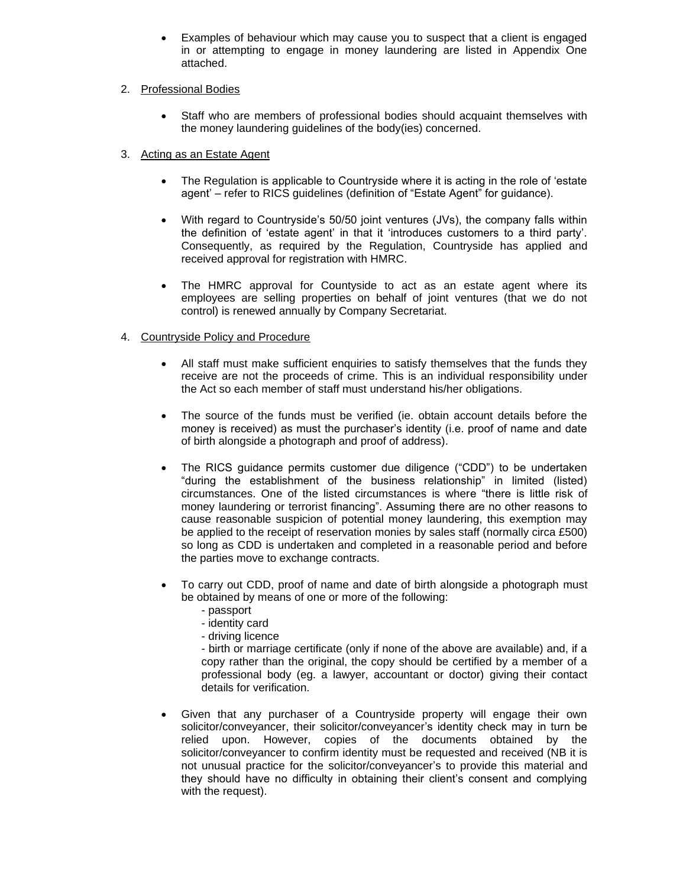• Examples of behaviour which may cause you to suspect that a client is engaged in or attempting to engage in money laundering are listed in Appendix One attached.

#### 2. Professional Bodies

• Staff who are members of professional bodies should acquaint themselves with the money laundering guidelines of the body(ies) concerned.

# 3. Acting as an Estate Agent

- The Regulation is applicable to Countryside where it is acting in the role of 'estate agent' – refer to RICS guidelines (definition of "Estate Agent" for guidance).
- With regard to Countryside's 50/50 joint ventures (JVs), the company falls within the definition of 'estate agent' in that it 'introduces customers to a third party'. Consequently, as required by the Regulation, Countryside has applied and received approval for registration with HMRC.
- The HMRC approval for Countyside to act as an estate agent where its employees are selling properties on behalf of joint ventures (that we do not control) is renewed annually by Company Secretariat.

#### 4. Countryside Policy and Procedure

- All staff must make sufficient enquiries to satisfy themselves that the funds they receive are not the proceeds of crime. This is an individual responsibility under the Act so each member of staff must understand his/her obligations.
- The source of the funds must be verified (ie. obtain account details before the money is received) as must the purchaser's identity (i.e. proof of name and date of birth alongside a photograph and proof of address).
- The RICS guidance permits customer due diligence ("CDD") to be undertaken "during the establishment of the business relationship" in limited (listed) circumstances. One of the listed circumstances is where "there is little risk of money laundering or terrorist financing". Assuming there are no other reasons to cause reasonable suspicion of potential money laundering, this exemption may be applied to the receipt of reservation monies by sales staff (normally circa £500) so long as CDD is undertaken and completed in a reasonable period and before the parties move to exchange contracts.
- To carry out CDD, proof of name and date of birth alongside a photograph must be obtained by means of one or more of the following:
	- passport
	- identity card
	- driving licence

- birth or marriage certificate (only if none of the above are available) and, if a copy rather than the original, the copy should be certified by a member of a professional body (eg. a lawyer, accountant or doctor) giving their contact details for verification.

• Given that any purchaser of a Countryside property will engage their own solicitor/conveyancer, their solicitor/conveyancer's identity check may in turn be relied upon. However, copies of the documents obtained by the solicitor/conveyancer to confirm identity must be requested and received (NB it is not unusual practice for the solicitor/conveyancer's to provide this material and they should have no difficulty in obtaining their client's consent and complying with the request).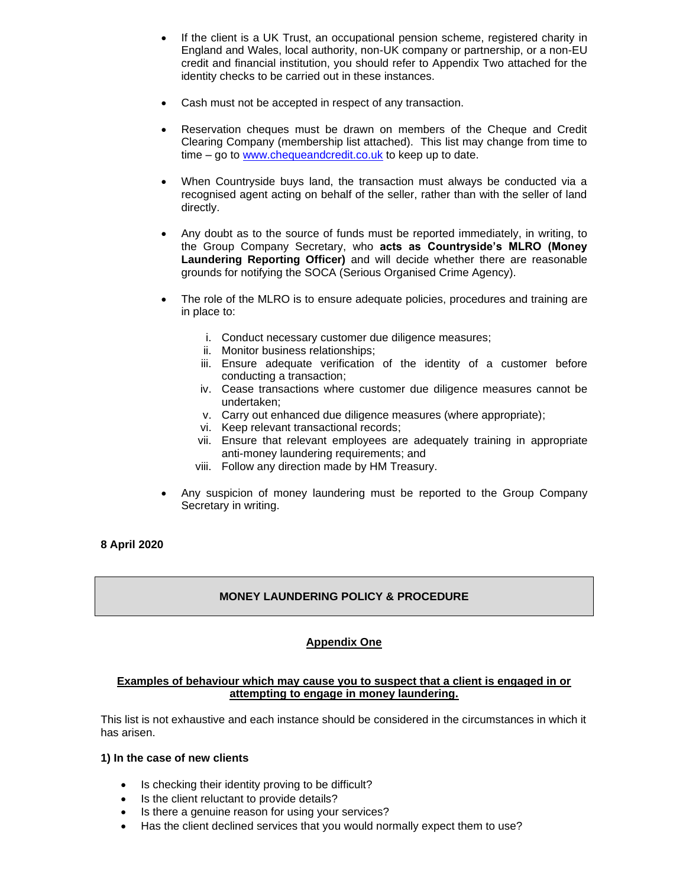- If the client is a UK Trust, an occupational pension scheme, registered charity in England and Wales, local authority, non-UK company or partnership, or a non-EU credit and financial institution, you should refer to Appendix Two attached for the identity checks to be carried out in these instances.
- Cash must not be accepted in respect of any transaction.
- Reservation cheques must be drawn on members of the Cheque and Credit Clearing Company (membership list attached). This list may change from time to time – go to [www.chequeandcredit.co.uk](http://www.chequeandcredit.co.uk/) to keep up to date.
- When Countryside buys land, the transaction must always be conducted via a recognised agent acting on behalf of the seller, rather than with the seller of land directly.
- Any doubt as to the source of funds must be reported immediately, in writing, to the Group Company Secretary, who **acts as Countryside's MLRO (Money Laundering Reporting Officer)** and will decide whether there are reasonable grounds for notifying the SOCA (Serious Organised Crime Agency).
- The role of the MLRO is to ensure adequate policies, procedures and training are in place to:
	- i. Conduct necessary customer due diligence measures;
	- ii. Monitor business relationships;
	- iii. Ensure adequate verification of the identity of a customer before conducting a transaction;
	- iv. Cease transactions where customer due diligence measures cannot be undertaken;
	- v. Carry out enhanced due diligence measures (where appropriate);
	- vi. Keep relevant transactional records;
	- vii. Ensure that relevant employees are adequately training in appropriate anti-money laundering requirements; and
	- viii. Follow any direction made by HM Treasury.
- Any suspicion of money laundering must be reported to the Group Company Secretary in writing.

# **8 April 2020**

# **MONEY LAUNDERING POLICY & PROCEDURE**

# **Appendix One**

#### **Examples of behaviour which may cause you to suspect that a client is engaged in or attempting to engage in money laundering.**

This list is not exhaustive and each instance should be considered in the circumstances in which it has arisen.

#### **1) In the case of new clients**

- Is checking their identity proving to be difficult?
- Is the client reluctant to provide details?
- Is there a genuine reason for using your services?
- Has the client declined services that you would normally expect them to use?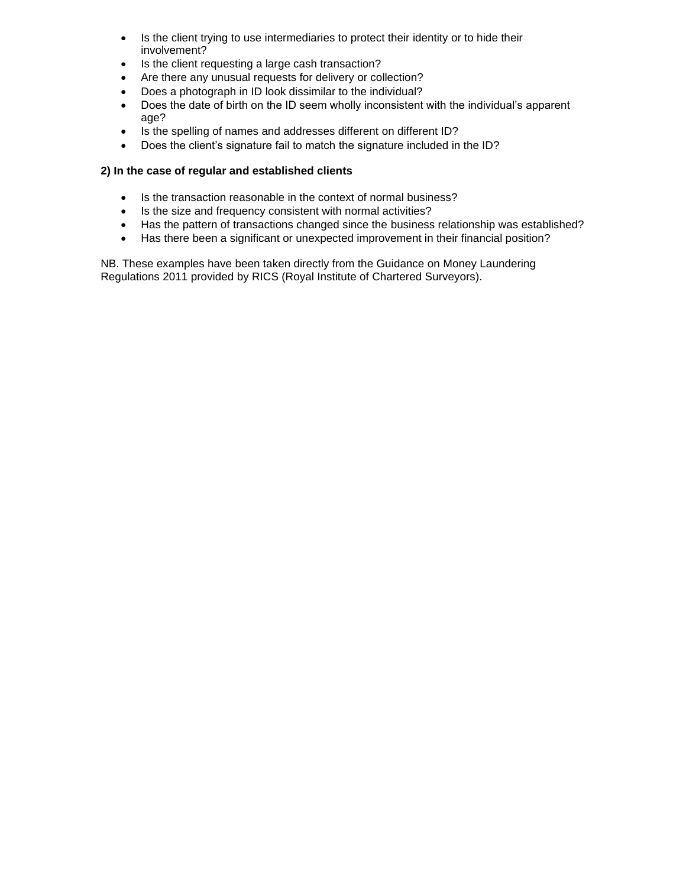- Is the client trying to use intermediaries to protect their identity or to hide their involvement?
- Is the client requesting a large cash transaction?
- Are there any unusual requests for delivery or collection?
- Does a photograph in ID look dissimilar to the individual?
- Does the date of birth on the ID seem wholly inconsistent with the individual's apparent age?
- Is the spelling of names and addresses different on different ID?
- Does the client's signature fail to match the signature included in the ID?

#### **2) In the case of regular and established clients**

- Is the transaction reasonable in the context of normal business?
- Is the size and frequency consistent with normal activities?
- Has the pattern of transactions changed since the business relationship was established?
- Has there been a significant or unexpected improvement in their financial position?

NB. These examples have been taken directly from the Guidance on Money Laundering Regulations 2011 provided by RICS (Royal Institute of Chartered Surveyors).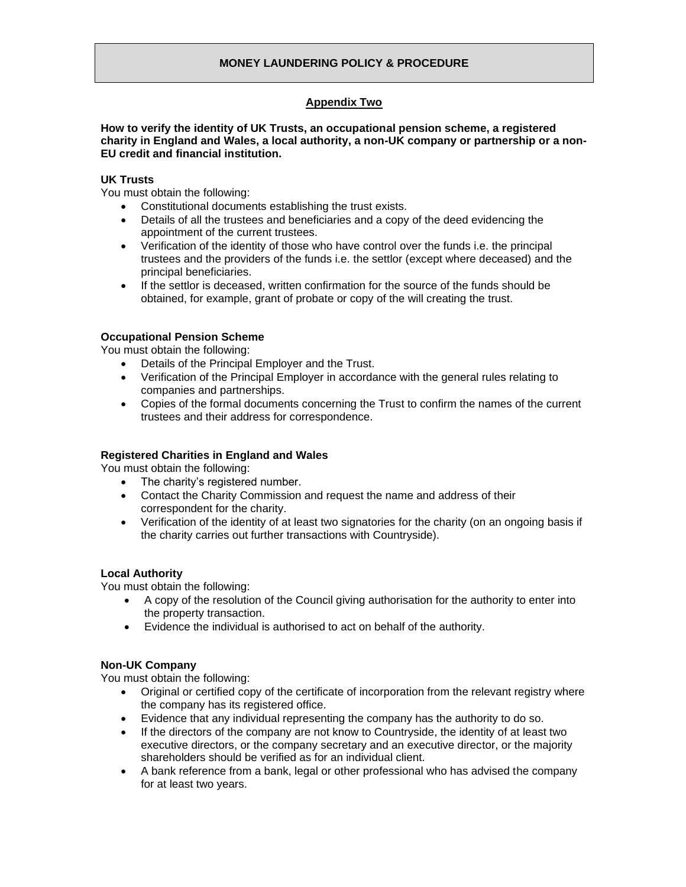# **Appendix Two**

**How to verify the identity of UK Trusts, an occupational pension scheme, a registered charity in England and Wales, a local authority, a non-UK company or partnership or a non-EU credit and financial institution.**

# **UK Trusts**

You must obtain the following:

- Constitutional documents establishing the trust exists.
- Details of all the trustees and beneficiaries and a copy of the deed evidencing the appointment of the current trustees.
- Verification of the identity of those who have control over the funds i.e. the principal trustees and the providers of the funds i.e. the settlor (except where deceased) and the principal beneficiaries.
- If the settlor is deceased, written confirmation for the source of the funds should be obtained, for example, grant of probate or copy of the will creating the trust.

#### **Occupational Pension Scheme**

You must obtain the following:

- Details of the Principal Employer and the Trust.
- Verification of the Principal Employer in accordance with the general rules relating to companies and partnerships.
- Copies of the formal documents concerning the Trust to confirm the names of the current trustees and their address for correspondence.

# **Registered Charities in England and Wales**

You must obtain the following:

- The charity's registered number.
- Contact the Charity Commission and request the name and address of their correspondent for the charity.
- Verification of the identity of at least two signatories for the charity (on an ongoing basis if the charity carries out further transactions with Countryside).

#### **Local Authority**

You must obtain the following:

- A copy of the resolution of the Council giving authorisation for the authority to enter into the property transaction.
- Evidence the individual is authorised to act on behalf of the authority.

# **Non-UK Company**

You must obtain the following:

- Original or certified copy of the certificate of incorporation from the relevant registry where the company has its registered office.
- Evidence that any individual representing the company has the authority to do so.
- If the directors of the company are not know to Countryside, the identity of at least two executive directors, or the company secretary and an executive director, or the majority shareholders should be verified as for an individual client.
- A bank reference from a bank, legal or other professional who has advised the company for at least two years.